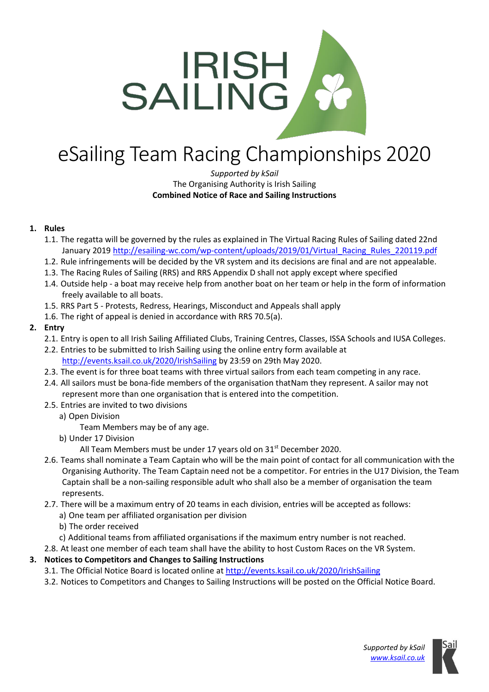

# eSailing Team Racing Championships 2020

#### *Supported by kSail* The Organising Authority is Irish Sailing **Combined Notice of Race and Sailing Instructions**

## **1. Rules**

- 1.1. The regatta will be governed by the rules as explained in The Virtual Racing Rules of Sailing dated 22nd January 2019 [http://esailing-wc.com/wp-content/uploads/2019/01/Virtual\\_Racing\\_Rules\\_220119.pdf](https://www.google.com/url?q=http://esailing-wc.com/wp-content/uploads/2019/01/Virtual_Racing_Rules_220119.pdf&sa=D&ust=1589460623687000)
- 1.2. Rule infringements will be decided by the VR system and its decisions are final and are not appealable.
- 1.3. The Racing Rules of Sailing (RRS) and RRS Appendix D shall not apply except where specified
- 1.4. Outside help a boat may receive help from another boat on her team or help in the form of information freely available to all boats.
- 1.5. RRS Part 5 Protests, Redress, Hearings, Misconduct and Appeals shall apply
- 1.6. The right of appeal is denied in accordance with RRS 70.5(a).

## **2. Entry**

- 2.1. Entry is open to all Irish Sailing Affiliated Clubs, Training Centres, Classes, ISSA Schools and IUSA Colleges.
- 2.2. Entries to be submitted to Irish Sailing using the online entry form available at <http://events.ksail.co.uk/2020/IrishSailing> by 23:59 on 29th May 2020.
- 2.3. The event is for three boat teams with three virtual sailors from each team competing in any race.
- 2.4. All sailors must be bona-fide members of the organisation thatNam they represent. A sailor may not represent more than one organisation that is entered into the competition.
- 2.5. Entries are invited to two divisions
	- a) Open Division
		- Team Members may be of any age.
	- b) Under 17 Division

All Team Members must be under 17 years old on 31<sup>st</sup> December 2020.

- 2.6. Teams shall nominate a Team Captain who will be the main point of contact for all communication with the Organising Authority. The Team Captain need not be a competitor. For entries in the U17 Division, the Team Captain shall be a non-sailing responsible adult who shall also be a member of organisation the team represents.
- 2.7. There will be a maximum entry of 20 teams in each division, entries will be accepted as follows:
	- a) One team per affiliated organisation per division
	- b) The order received
	- c) Additional teams from affiliated organisations if the maximum entry number is not reached.
- 2.8. At least one member of each team shall have the ability to host Custom Races on the VR System.
- **3. Notices to Competitors and Changes to Sailing Instructions**
	- 3.1. The Official Notice Board is located online a[t http://events.ksail.co.uk/2020/IrishSailing](http://events.ksail.co.uk/2020/IrishSailing)
		- 3.2. Notices to Competitors and Changes to Sailing Instructions will be posted on the Official Notice Board.

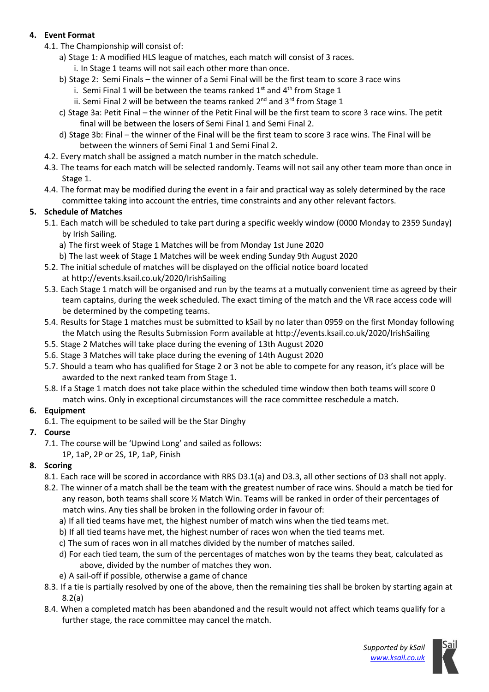# **4. Event Format**

- 4.1. The Championship will consist of:
	- a) Stage 1: A modified HLS league of matches, each match will consist of 3 races.
		- i. In Stage 1 teams will not sail each other more than once.
	- b) Stage 2: Semi Finals the winner of a Semi Final will be the first team to score 3 race wins
		- i. Semi Final 1 will be between the teams ranked  $1<sup>st</sup>$  and  $4<sup>th</sup>$  from Stage 1
		- ii. Semi Final 2 will be between the teams ranked  $2^{nd}$  and  $3^{rd}$  from Stage 1
	- c) Stage 3a: Petit Final the winner of the Petit Final will be the first team to score 3 race wins. The petit final will be between the losers of Semi Final 1 and Semi Final 2.
	- d) Stage 3b: Final the winner of the Final will be the first team to score 3 race wins. The Final will be between the winners of Semi Final 1 and Semi Final 2.
- 4.2. Every match shall be assigned a match number in the match schedule.
- 4.3. The teams for each match will be selected randomly. Teams will not sail any other team more than once in Stage 1.
- 4.4. The format may be modified during the event in a fair and practical way as solely determined by the race committee taking into account the entries, time constraints and any other relevant factors.

# **5. Schedule of Matches**

- 5.1. Each match will be scheduled to take part during a specific weekly window (0000 Monday to 2359 Sunday) by Irish Sailing.
	- a) The first week of Stage 1 Matches will be from Monday 1st June 2020
	- b) The last week of Stage 1 Matches will be week ending Sunday 9th August 2020
- 5.2. The initial schedule of matches will be displayed on the official notice board located at http://events.ksail.co.uk/2020/IrishSailing
- 5.3. Each Stage 1 match will be organised and run by the teams at a mutually convenient time as agreed by their team captains, during the week scheduled. The exact timing of the match and the VR race access code will be determined by the competing teams.
- 5.4. Results for Stage 1 matches must be submitted to kSail by no later than 0959 on the first Monday following the Match using the Results Submission Form available at http://events.ksail.co.uk/2020/IrishSailing
- 5.5. Stage 2 Matches will take place during the evening of 13th August 2020
- 5.6. Stage 3 Matches will take place during the evening of 14th August 2020
- 5.7. Should a team who has qualified for Stage 2 or 3 not be able to compete for any reason, it's place will be awarded to the next ranked team from Stage 1.
- 5.8. If a Stage 1 match does not take place within the scheduled time window then both teams will score 0 match wins. Only in exceptional circumstances will the race committee reschedule a match.

# **6. Equipment**

6.1. The equipment to be sailed will be the Star Dinghy

# **7. Course**

7.1. The course will be 'Upwind Long' and sailed as follows: 1P, 1aP, 2P or 2S, 1P, 1aP, Finish

## **8. Scoring**

- 8.1. Each race will be scored in accordance with RRS D3.1(a) and D3.3, all other sections of D3 shall not apply.
- 8.2. The winner of a match shall be the team with the greatest number of race wins. Should a match be tied for any reason, both teams shall score ½ Match Win. Teams will be ranked in order of their percentages of match wins. Any ties shall be broken in the following order in favour of:
	- a) If all tied teams have met, the highest number of match wins when the tied teams met.
	- b) If all tied teams have met, the highest number of races won when the tied teams met.
	- c) The sum of races won in all matches divided by the number of matches sailed.
	- d) For each tied team, the sum of the percentages of matches won by the teams they beat, calculated as above, divided by the number of matches they won.
	- e) A sail-off if possible, otherwise a game of chance
- 8.3. If a tie is partially resolved by one of the above, then the remaining ties shall be broken by starting again at 8.2(a)
- 8.4. When a completed match has been abandoned and the result would not affect which teams qualify for a further stage, the race committee may cancel the match.